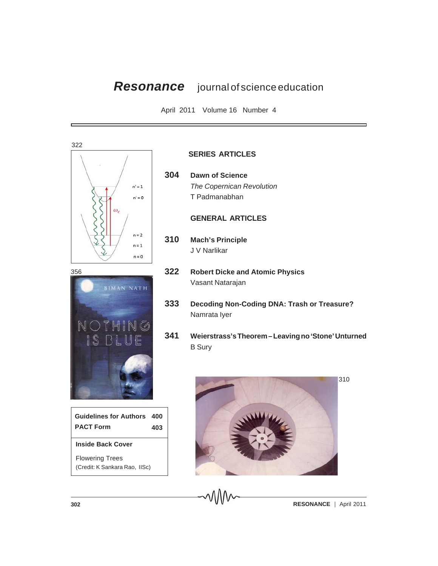## *Resonance* journal of science education

April 2011 Volume 16 Number 4



## **SERIES ARTICLES**

**304 Dawn of Science** *The Copernican Revolution* T Padmanabhan

## **GENERAL ARTICLES**

- **310 Mach's Principle** J V Narlikar
- **322 Robert Dicke and Atomic Physics** Vasant Natarajan
- **333 Decoding Non-Coding DNA: Trash or Treasure?** Namrata Iyer
- **341 Weierstrass's Theorem Leaving no 'Stone' Unturned** B Sury



**302 RESONANCE** | April 2011



**Inside Back Cover** Flowering Trees **PACT Form 403**

(Credit: K Sankara Rao, IISc)